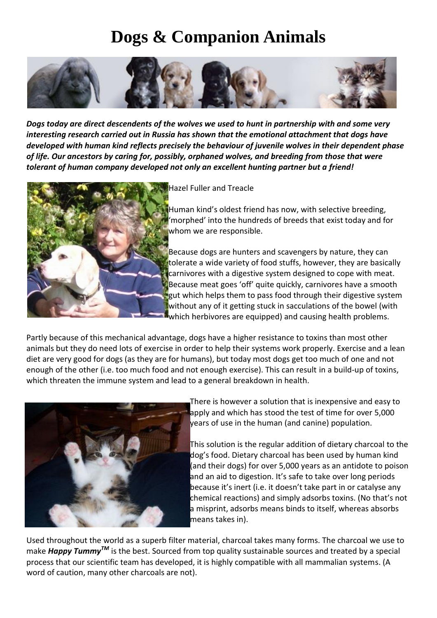## **Dogs & Companion Animals**



*Dogs today are direct descendents of the wolves we used to hunt in partnership with and some very interesting research carried out in Russia has shown that the emotional attachment that dogs have developed with human kind reflects precisely the behaviour of juvenile wolves in their dependent phase of life. Our ancestors by caring for, possibly, orphaned wolves, and breeding from those that were tolerant of human company developed not only an excellent hunting partner but a friend!*



**Hazel Fuller and Treacle** 

Human kind's oldest friend has now, with selective breeding, 'morphed' into the hundreds of breeds that exist today and for whom we are responsible.

Because dogs are hunters and scavengers by nature, they can tolerate a wide variety of food stuffs, however, they are basically carnivores with a digestive system designed to cope with meat. Because meat goes 'off' quite quickly, carnivores have a smooth **gut which helps them to pass food through their digestive system** without any of it getting stuck in sacculations of the bowel (with which herbivores are equipped) and causing health problems.

Partly because of this mechanical advantage, dogs have a higher resistance to toxins than most other animals but they do need lots of exercise in order to help their systems work properly. Exercise and a lean diet are very good for dogs (as they are for humans), but today most dogs get too much of one and not enough of the other (i.e. too much food and not enough exercise). This can result in a build-up of toxins, which threaten the immune system and lead to a general breakdown in health.



There is however a solution that is inexpensive and easy to apply and which has stood the test of time for over 5,000 years of use in the human (and canine) population.

This solution is the regular addition of dietary charcoal to the dog's food. Dietary charcoal has been used by human kind (and their dogs) for over 5,000 years as an antidote to poison and an aid to digestion. It's safe to take over long periods because it's inert (i.e. it doesn't take part in or catalyse any chemical reactions) and simply adsorbs toxins. (No that's not a misprint, adsorbs means binds to itself, whereas absorbs means takes in).

Used throughout the world as a superb filter material, charcoal takes many forms. The charcoal we use to make *Happy TummyTM* is the best. Sourced from top quality sustainable sources and treated by a special process that our scientific team has developed, it is highly compatible with all mammalian systems. (A word of caution, many other charcoals are not).